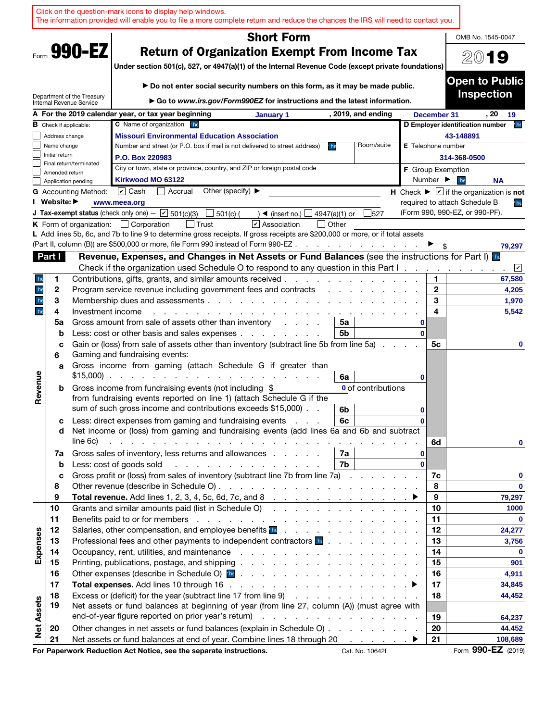|                                                                                                                                                                           |                |                               | Click on the question-mark icons to display help windows.<br>The information provided will enable you to file a more complete return and reduce the chances the IRS will need to contact you.                                                                                                               |                                       |                                                                                                                                                              |                          |                                 |                          |                              |                                                                       |
|---------------------------------------------------------------------------------------------------------------------------------------------------------------------------|----------------|-------------------------------|-------------------------------------------------------------------------------------------------------------------------------------------------------------------------------------------------------------------------------------------------------------------------------------------------------------|---------------------------------------|--------------------------------------------------------------------------------------------------------------------------------------------------------------|--------------------------|---------------------------------|--------------------------|------------------------------|-----------------------------------------------------------------------|
|                                                                                                                                                                           |                |                               |                                                                                                                                                                                                                                                                                                             |                                       | <b>Short Form</b>                                                                                                                                            |                          |                                 |                          |                              | OMB No. 1545-0047                                                     |
| Form 990-EZ<br><b>Return of Organization Exempt From Income Tax</b><br>Under section 501(c), 527, or 4947(a)(1) of the Internal Revenue Code (except private foundations) |                |                               |                                                                                                                                                                                                                                                                                                             |                                       |                                                                                                                                                              |                          |                                 |                          | 2019                         |                                                                       |
|                                                                                                                                                                           |                | Department of the Treasury    |                                                                                                                                                                                                                                                                                                             |                                       | ► Do not enter social security numbers on this form, as it may be made public.<br>► Go to www.irs.gov/Form990EZ for instructions and the latest information. |                          |                                 |                          |                              | <b>Open to Public</b><br><b>Inspection</b>                            |
|                                                                                                                                                                           |                | Internal Revenue Service      | A For the 2019 calendar year, or tax year beginning                                                                                                                                                                                                                                                         |                                       | January 1                                                                                                                                                    |                          | , 2019, and ending              |                          | December 31                  | , 20<br>19                                                            |
|                                                                                                                                                                           |                | <b>B</b> Check if applicable: | C Name of organization<br>h                                                                                                                                                                                                                                                                                 |                                       |                                                                                                                                                              |                          |                                 |                          |                              | he <sup>1</sup><br>D Employer identification number                   |
|                                                                                                                                                                           | Address change |                               | <b>Missouri Environmental Education Association</b>                                                                                                                                                                                                                                                         |                                       |                                                                                                                                                              |                          |                                 |                          |                              | 43-148891                                                             |
|                                                                                                                                                                           | Name change    |                               | Number and street (or P.O. box if mail is not delivered to street address)                                                                                                                                                                                                                                  |                                       |                                                                                                                                                              | h                        | Room/suite                      | E Telephone number       |                              |                                                                       |
|                                                                                                                                                                           | Initial return | Final return/terminated       | P.O. Box 220983                                                                                                                                                                                                                                                                                             |                                       |                                                                                                                                                              |                          |                                 |                          |                              | 314-368-0500                                                          |
|                                                                                                                                                                           | Amended return |                               | City or town, state or province, country, and ZIP or foreign postal code                                                                                                                                                                                                                                    |                                       |                                                                                                                                                              |                          |                                 | <b>F</b> Group Exemption |                              |                                                                       |
|                                                                                                                                                                           |                | Application pending           | Kirkwood MO 63122                                                                                                                                                                                                                                                                                           |                                       |                                                                                                                                                              |                          |                                 |                          | Number $\blacktriangleright$ | he <sup>'</sup><br><b>NA</b>                                          |
|                                                                                                                                                                           |                | <b>G</b> Accounting Method:   | $\cup$ Cash<br>Accrual                                                                                                                                                                                                                                                                                      | Other (specify) $\blacktriangleright$ |                                                                                                                                                              |                          |                                 |                          |                              | H Check $\blacktriangleright \Box$ if the organization is not         |
|                                                                                                                                                                           | I Website: ▶   |                               | www.meea.org                                                                                                                                                                                                                                                                                                |                                       |                                                                                                                                                              |                          |                                 |                          |                              | required to attach Schedule B<br>he<br>(Form 990, 990-EZ, or 990-PF). |
|                                                                                                                                                                           |                |                               | <b>J Tax-exempt status</b> (check only one) - $\boxed{\phantom{1}}$ 501(c)(3)                                                                                                                                                                                                                               | $501(c)$ (                            | $\rightarrow$ (insert no.)<br>$\sqrt{\phantom{a}}$ Association                                                                                               | 4947(a)(1) or<br>  Other | 527                             |                          |                              |                                                                       |
|                                                                                                                                                                           |                |                               | <b>K</b> Form of organization: $\Box$ Corporation<br>L Add lines 5b, 6c, and 7b to line 9 to determine gross receipts. If gross receipts are \$200,000 or more, or if total assets                                                                                                                          |                                       |                                                                                                                                                              |                          |                                 |                          |                              |                                                                       |
|                                                                                                                                                                           |                |                               | (Part II, column (B)) are \$500,000 or more, file Form 990 instead of Form 990-EZ.                                                                                                                                                                                                                          |                                       |                                                                                                                                                              |                          | and a series of the contract of |                          |                              | 79,297                                                                |
|                                                                                                                                                                           | Part I         |                               | Revenue, Expenses, and Changes in Net Assets or Fund Balances (see the instructions for Part I) <b>Re</b>                                                                                                                                                                                                   |                                       |                                                                                                                                                              |                          |                                 |                          |                              |                                                                       |
|                                                                                                                                                                           |                |                               | Check if the organization used Schedule O to respond to any question in this Part I.                                                                                                                                                                                                                        |                                       |                                                                                                                                                              |                          |                                 |                          |                              | $\lfloor \nu \rfloor$                                                 |
| he                                                                                                                                                                        | 1              |                               | Contributions, gifts, grants, and similar amounts received.                                                                                                                                                                                                                                                 |                                       |                                                                                                                                                              |                          |                                 |                          | 1.                           | 67,580                                                                |
| he                                                                                                                                                                        | $\mathbf{2}$   |                               | Program service revenue including government fees and contracts                                                                                                                                                                                                                                             |                                       |                                                                                                                                                              |                          |                                 |                          | $\mathbf{2}$                 | 4,205                                                                 |
| he                                                                                                                                                                        | 3              |                               | Membership dues and assessments.                                                                                                                                                                                                                                                                            |                                       | and a straight and a straight                                                                                                                                |                          |                                 |                          | 3                            | 1,970                                                                 |
| he                                                                                                                                                                        | 4              | Investment income             |                                                                                                                                                                                                                                                                                                             |                                       |                                                                                                                                                              |                          |                                 |                          | 4                            | 5,542                                                                 |
|                                                                                                                                                                           | 5a             |                               | Gross amount from sale of assets other than inventory                                                                                                                                                                                                                                                       |                                       | and a state of                                                                                                                                               | 5a                       |                                 |                          |                              |                                                                       |
|                                                                                                                                                                           | b<br>c         |                               | Less: cost or other basis and sales expenses<br>Gain or (loss) from sale of assets other than inventory (subtract line 5b from line 5a)                                                                                                                                                                     |                                       |                                                                                                                                                              | 5b                       |                                 |                          | 5с                           | 0                                                                     |
|                                                                                                                                                                           | 6<br>a         |                               | Gaming and fundraising events:<br>Gross income from gaming (attach Schedule G if greater than                                                                                                                                                                                                               |                                       |                                                                                                                                                              |                          |                                 |                          |                              |                                                                       |
|                                                                                                                                                                           |                |                               | $$15,000$                                                                                                                                                                                                                                                                                                   |                                       |                                                                                                                                                              | 6a                       |                                 |                          |                              |                                                                       |
| Revenue                                                                                                                                                                   | b              |                               | Gross income from fundraising events (not including \$                                                                                                                                                                                                                                                      |                                       |                                                                                                                                                              |                          | Oof contributions               |                          |                              |                                                                       |
|                                                                                                                                                                           |                |                               | from fundraising events reported on line 1) (attach Schedule G if the<br>sum of such gross income and contributions exceeds \$15,000).                                                                                                                                                                      |                                       |                                                                                                                                                              | 6b                       |                                 |                          |                              |                                                                       |
|                                                                                                                                                                           | с              |                               | Less: direct expenses from gaming and fundraising events                                                                                                                                                                                                                                                    |                                       |                                                                                                                                                              | 6c                       |                                 |                          |                              |                                                                       |
|                                                                                                                                                                           | d              | line 6c)                      | Net income or (loss) from gaming and fundraising events (add lines 6a and 6b and subtract<br>the contract of the contract of the contract of the contract of the contract of                                                                                                                                |                                       |                                                                                                                                                              |                          |                                 |                          | 6d                           | 0                                                                     |
|                                                                                                                                                                           | 7a             |                               | Gross sales of inventory, less returns and allowances                                                                                                                                                                                                                                                       |                                       |                                                                                                                                                              | 7a                       |                                 |                          |                              |                                                                       |
|                                                                                                                                                                           | $\mathbf b$    |                               | Less: cost of goods sold                                                                                                                                                                                                                                                                                    |                                       |                                                                                                                                                              | 7b                       |                                 |                          |                              |                                                                       |
|                                                                                                                                                                           | c              |                               | Gross profit or (loss) from sales of inventory (subtract line 7b from line 7a)                                                                                                                                                                                                                              |                                       |                                                                                                                                                              |                          |                                 |                          | 7c                           | 0                                                                     |
|                                                                                                                                                                           | 8              |                               |                                                                                                                                                                                                                                                                                                             |                                       |                                                                                                                                                              |                          |                                 |                          | 8                            | $\Omega$                                                              |
|                                                                                                                                                                           | 9              |                               |                                                                                                                                                                                                                                                                                                             |                                       |                                                                                                                                                              |                          |                                 |                          | 9                            | 79,297                                                                |
|                                                                                                                                                                           | 10             |                               | Grants and similar amounts paid (list in Schedule O)                                                                                                                                                                                                                                                        |                                       |                                                                                                                                                              |                          |                                 |                          | 10                           | 1000                                                                  |
|                                                                                                                                                                           | 11             |                               |                                                                                                                                                                                                                                                                                                             |                                       |                                                                                                                                                              |                          |                                 |                          | 11                           | $\mathbf 0$                                                           |
| Expenses                                                                                                                                                                  | 12<br>13       |                               | Salaries, other compensation, and employee benefits in the contract of the contract of the salaries, other compensation, and employee benefits in the contract of the contract of the salar substitution of the salarity of th<br>Professional fees and other payments to independent contractors <b>be</b> |                                       |                                                                                                                                                              |                          |                                 |                          | 12<br>13                     | 24,277<br>3,756                                                       |
|                                                                                                                                                                           | 14             |                               |                                                                                                                                                                                                                                                                                                             |                                       |                                                                                                                                                              |                          |                                 |                          | 14                           | $\mathbf 0$                                                           |
|                                                                                                                                                                           | 15             |                               |                                                                                                                                                                                                                                                                                                             |                                       |                                                                                                                                                              |                          |                                 |                          | 15                           | 901                                                                   |
|                                                                                                                                                                           | 16             |                               |                                                                                                                                                                                                                                                                                                             |                                       |                                                                                                                                                              |                          |                                 |                          | 16                           | 4,911                                                                 |
|                                                                                                                                                                           | 17             |                               |                                                                                                                                                                                                                                                                                                             |                                       |                                                                                                                                                              |                          |                                 |                          | 17                           | 34,845                                                                |
|                                                                                                                                                                           | 18             |                               | Excess or (deficit) for the year (subtract line 17 from line 9)                                                                                                                                                                                                                                             |                                       |                                                                                                                                                              |                          |                                 |                          | 18                           | 44,452                                                                |
|                                                                                                                                                                           | 19             |                               | Net assets or fund balances at beginning of year (from line 27, column (A)) (must agree with                                                                                                                                                                                                                |                                       |                                                                                                                                                              |                          |                                 |                          |                              |                                                                       |
|                                                                                                                                                                           |                |                               | end-of-year figure reported on prior year's return)                                                                                                                                                                                                                                                         |                                       | the contract of the contract of the contract of                                                                                                              |                          |                                 |                          | 19                           | 64,237                                                                |
| <b>Net Assets</b>                                                                                                                                                         | 20             |                               | Other changes in net assets or fund balances (explain in Schedule O)                                                                                                                                                                                                                                        |                                       |                                                                                                                                                              |                          |                                 |                          | 20                           | 44.452                                                                |
|                                                                                                                                                                           | 21             |                               | Net assets or fund balances at end of year. Combine lines 18 through 20 ▶                                                                                                                                                                                                                                   |                                       |                                                                                                                                                              |                          |                                 |                          | 21                           | 108,689                                                               |
|                                                                                                                                                                           |                |                               | For Paperwork Reduction Act Notice, see the separate instructions.                                                                                                                                                                                                                                          |                                       |                                                                                                                                                              |                          | Cat. No. 10642I                 |                          |                              | Form 990-EZ (2019)                                                    |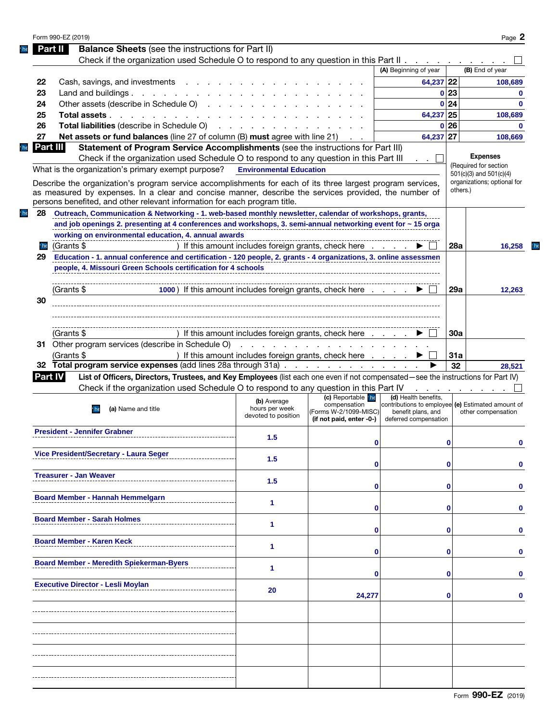|                 |                                                                                                                                                                                                                                                                                                   |                                                                                                                 |                                                     |                                                                         |                 | Page 2                      |
|-----------------|---------------------------------------------------------------------------------------------------------------------------------------------------------------------------------------------------------------------------------------------------------------------------------------------------|-----------------------------------------------------------------------------------------------------------------|-----------------------------------------------------|-------------------------------------------------------------------------|-----------------|-----------------------------|
|                 | <b>Balance Sheets</b> (see the instructions for Part II)<br>Part II                                                                                                                                                                                                                               |                                                                                                                 |                                                     |                                                                         |                 |                             |
|                 | Check if the organization used Schedule O to respond to any question in this Part II                                                                                                                                                                                                              |                                                                                                                 |                                                     |                                                                         |                 |                             |
|                 |                                                                                                                                                                                                                                                                                                   |                                                                                                                 |                                                     | (A) Beginning of year                                                   |                 | (B) End of year             |
| 22              | Cash, savings, and investments                                                                                                                                                                                                                                                                    |                                                                                                                 |                                                     | 64,237 22                                                               |                 | 108.689                     |
| 23              | Land and buildings $\ldots$ $\ldots$ $\ldots$ $\ldots$                                                                                                                                                                                                                                            |                                                                                                                 |                                                     |                                                                         | 0 <sub>23</sub> | $\Omega$                    |
| 24              | Other assets (describe in Schedule O)                                                                                                                                                                                                                                                             |                                                                                                                 |                                                     |                                                                         | 0 <sub>24</sub> | $\Omega$                    |
| 25              | Total assets                                                                                                                                                                                                                                                                                      |                                                                                                                 |                                                     | 64,237 25                                                               |                 | 108,689                     |
| 26              | <b>Total liabilities</b> (describe in Schedule O)                                                                                                                                                                                                                                                 | the contract of the contract of the contract of the contract of the contract of the contract of the contract of |                                                     |                                                                         | 0 <sub>26</sub> | $\Omega$                    |
| 27              | Net assets or fund balances (line 27 of column (B) must agree with line 21)                                                                                                                                                                                                                       |                                                                                                                 |                                                     | 64,237 27                                                               |                 | 108,669                     |
| Part III        | Statement of Program Service Accomplishments (see the instructions for Part III)                                                                                                                                                                                                                  |                                                                                                                 |                                                     |                                                                         |                 |                             |
|                 | Check if the organization used Schedule O to respond to any question in this Part III                                                                                                                                                                                                             |                                                                                                                 |                                                     |                                                                         |                 | <b>Expenses</b>             |
|                 | What is the organization's primary exempt purpose?                                                                                                                                                                                                                                                | <b>Environmental Education</b>                                                                                  |                                                     |                                                                         |                 | (Required for section       |
|                 |                                                                                                                                                                                                                                                                                                   |                                                                                                                 |                                                     |                                                                         |                 | $501(c)(3)$ and $501(c)(4)$ |
|                 | Describe the organization's program service accomplishments for each of its three largest program services,<br>as measured by expenses. In a clear and concise manner, describe the services provided, the number of<br>persons benefited, and other relevant information for each program title. |                                                                                                                 |                                                     |                                                                         | others.)        | organizations; optional for |
| 28              | Outreach, Communication & Networking - 1. web-based monthly newsletter, calendar of workshops, grants,                                                                                                                                                                                            |                                                                                                                 |                                                     |                                                                         |                 |                             |
|                 | and job openings 2. presenting at 4 conferences and workshops, 3. semi-annual networking event for ~ 15 organizations                                                                                                                                                                             |                                                                                                                 |                                                     |                                                                         |                 |                             |
|                 | working on environmental education, 4. annual awards                                                                                                                                                                                                                                              |                                                                                                                 |                                                     |                                                                         |                 |                             |
| he <sup>'</sup> | (Grants \$                                                                                                                                                                                                                                                                                        | ) If this amount includes foreign grants, check here                                                            |                                                     |                                                                         | 28a             | 16,258                      |
| 29              | Education - 1. annual conference and certification - 120 people, 2. grants - 4 organizations, 3. online assessments - 100-                                                                                                                                                                        |                                                                                                                 |                                                     |                                                                         |                 |                             |
|                 | people, 4. Missouri Green Schools certification for 4 schools                                                                                                                                                                                                                                     |                                                                                                                 |                                                     |                                                                         |                 |                             |
|                 |                                                                                                                                                                                                                                                                                                   |                                                                                                                 |                                                     |                                                                         |                 |                             |
|                 |                                                                                                                                                                                                                                                                                                   |                                                                                                                 |                                                     |                                                                         |                 |                             |
|                 | 1000) If this amount includes foreign grants, check here<br>(Grants \$                                                                                                                                                                                                                            |                                                                                                                 |                                                     |                                                                         | 29a             | 12,263                      |
| 30              |                                                                                                                                                                                                                                                                                                   |                                                                                                                 |                                                     |                                                                         |                 |                             |
|                 |                                                                                                                                                                                                                                                                                                   |                                                                                                                 |                                                     |                                                                         |                 |                             |
|                 |                                                                                                                                                                                                                                                                                                   |                                                                                                                 |                                                     |                                                                         |                 |                             |
|                 | (Grants \$                                                                                                                                                                                                                                                                                        | ) If this amount includes foreign grants, check here                                                            |                                                     |                                                                         | <b>30a</b>      |                             |
|                 | 31 Other program services (describe in Schedule O)                                                                                                                                                                                                                                                |                                                                                                                 | and the contract of the contract of the contract of |                                                                         |                 |                             |
|                 | (Grants \$                                                                                                                                                                                                                                                                                        | ) If this amount includes foreign grants, check here                                                            |                                                     |                                                                         | 31a             |                             |
|                 | 32 Total program service expenses (add lines 28a through 31a)                                                                                                                                                                                                                                     |                                                                                                                 |                                                     |                                                                         | 32              | 28,521                      |
| <b>Part IV</b>  | List of Officers, Directors, Trustees, and Key Employees (list each one even if not compensated—see the instructions for Part IV)                                                                                                                                                                 |                                                                                                                 |                                                     |                                                                         |                 |                             |
|                 | Check if the organization used Schedule O to respond to any question in this Part IV                                                                                                                                                                                                              |                                                                                                                 |                                                     |                                                                         |                 |                             |
|                 |                                                                                                                                                                                                                                                                                                   |                                                                                                                 |                                                     |                                                                         |                 |                             |
|                 | (a) Name and title                                                                                                                                                                                                                                                                                |                                                                                                                 | (c) Reportable he                                   | (d) Health benefits.                                                    |                 |                             |
|                 | he                                                                                                                                                                                                                                                                                                | (b) Average<br>hours per week<br>devoted to position                                                            | compensation<br>(Forms W-2/1099-MISC)               | contributions to employee (e) Estimated amount of<br>benefit plans, and |                 | other compensation          |
|                 | President - Jennifer Grabner                                                                                                                                                                                                                                                                      |                                                                                                                 | (if not paid, enter -0-)                            | deferred compensation                                                   |                 |                             |
|                 |                                                                                                                                                                                                                                                                                                   | 1.5                                                                                                             | 0                                                   |                                                                         | 0               | 0                           |
|                 |                                                                                                                                                                                                                                                                                                   |                                                                                                                 |                                                     |                                                                         |                 |                             |
|                 | Vice President/Secretary - Laura Seger                                                                                                                                                                                                                                                            | 1.5                                                                                                             |                                                     |                                                                         |                 |                             |
|                 |                                                                                                                                                                                                                                                                                                   |                                                                                                                 |                                                     |                                                                         |                 |                             |
|                 | Treasurer - Jan Weaver                                                                                                                                                                                                                                                                            | 1.5                                                                                                             |                                                     |                                                                         |                 |                             |
|                 |                                                                                                                                                                                                                                                                                                   |                                                                                                                 |                                                     |                                                                         |                 |                             |
|                 | Board Member - Hannah Hemmelgarn                                                                                                                                                                                                                                                                  | 1                                                                                                               |                                                     |                                                                         |                 |                             |
|                 |                                                                                                                                                                                                                                                                                                   |                                                                                                                 |                                                     |                                                                         |                 |                             |
|                 | Board Member - Sarah Holmes                                                                                                                                                                                                                                                                       |                                                                                                                 |                                                     |                                                                         |                 |                             |
|                 |                                                                                                                                                                                                                                                                                                   | 1                                                                                                               |                                                     |                                                                         |                 |                             |
|                 | Board Member - Karen Keck                                                                                                                                                                                                                                                                         |                                                                                                                 |                                                     |                                                                         |                 |                             |
|                 |                                                                                                                                                                                                                                                                                                   | 1                                                                                                               |                                                     |                                                                         |                 |                             |
|                 |                                                                                                                                                                                                                                                                                                   |                                                                                                                 |                                                     |                                                                         |                 |                             |
|                 | Board Member - Meredith Spiekerman-Byers                                                                                                                                                                                                                                                          | 1                                                                                                               |                                                     |                                                                         |                 |                             |
|                 |                                                                                                                                                                                                                                                                                                   |                                                                                                                 |                                                     |                                                                         |                 |                             |
|                 | Executive Director - Lesli Moylan                                                                                                                                                                                                                                                                 | 20                                                                                                              |                                                     |                                                                         |                 |                             |
|                 |                                                                                                                                                                                                                                                                                                   |                                                                                                                 | 24,277                                              |                                                                         |                 |                             |
|                 |                                                                                                                                                                                                                                                                                                   |                                                                                                                 |                                                     |                                                                         |                 |                             |
|                 |                                                                                                                                                                                                                                                                                                   |                                                                                                                 |                                                     |                                                                         |                 |                             |
|                 |                                                                                                                                                                                                                                                                                                   |                                                                                                                 |                                                     |                                                                         |                 |                             |
|                 |                                                                                                                                                                                                                                                                                                   |                                                                                                                 |                                                     |                                                                         |                 |                             |
|                 |                                                                                                                                                                                                                                                                                                   |                                                                                                                 |                                                     |                                                                         |                 |                             |
|                 |                                                                                                                                                                                                                                                                                                   |                                                                                                                 |                                                     |                                                                         |                 |                             |
|                 |                                                                                                                                                                                                                                                                                                   |                                                                                                                 |                                                     |                                                                         |                 |                             |
|                 |                                                                                                                                                                                                                                                                                                   |                                                                                                                 |                                                     |                                                                         |                 |                             |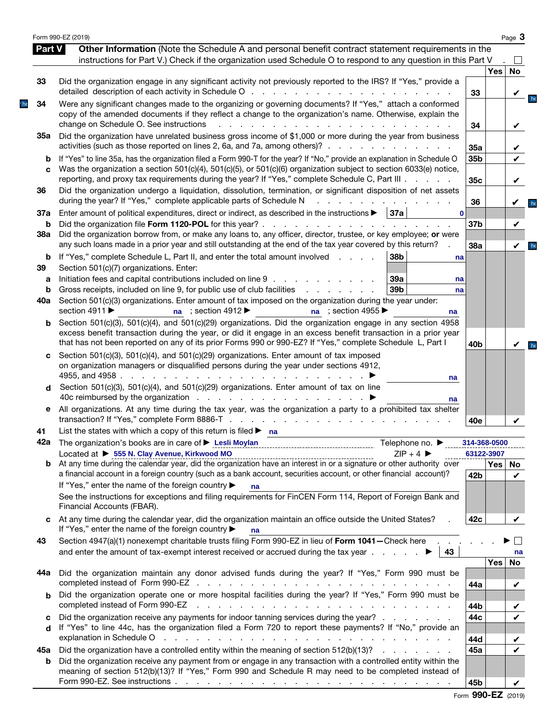|                   | Form 990-EZ (2019)                                                                                                                                                                                                                                                                                                                                                                                                                         |                 |                            | Page 3                          |                        |
|-------------------|--------------------------------------------------------------------------------------------------------------------------------------------------------------------------------------------------------------------------------------------------------------------------------------------------------------------------------------------------------------------------------------------------------------------------------------------|-----------------|----------------------------|---------------------------------|------------------------|
| <b>Part V</b>     | Other Information (Note the Schedule A and personal benefit contract statement requirements in the<br>instructions for Part V.) Check if the organization used Schedule O to respond to any question in this Part V                                                                                                                                                                                                                        |                 |                            |                                 |                        |
| 33                | Did the organization engage in any significant activity not previously reported to the IRS? If "Yes," provide a<br>detailed description of each activity in Schedule O                                                                                                                                                                                                                                                                     | 33              | Yes                        | <b>No</b>                       |                        |
| 34                | Were any significant changes made to the organizing or governing documents? If "Yes," attach a conformed<br>copy of the amended documents if they reflect a change to the organization's name. Otherwise, explain the<br>change on Schedule O. See instructions                                                                                                                                                                            | 34              |                            | $\frac{1}{\pi}$<br>✓            |                        |
| 35a               | Did the organization have unrelated business gross income of \$1,000 or more during the year from business<br>activities (such as those reported on lines 2, 6a, and 7a, among others)?                                                                                                                                                                                                                                                    | 35a             |                            | ✓                               |                        |
| b<br>C            | If "Yes" to line 35a, has the organization filed a Form 990-T for the year? If "No," provide an explanation in Schedule O<br>Was the organization a section 501(c)(4), 501(c)(5), or 501(c)(6) organization subject to section 6033(e) notice,<br>reporting, and proxy tax requirements during the year? If "Yes," complete Schedule C, Part III                                                                                           | 35b<br>35c      |                            | $\boldsymbol{\mathcal{U}}$<br>✓ |                        |
| 36                | Did the organization undergo a liquidation, dissolution, termination, or significant disposition of net assets<br>during the year? If "Yes," complete applicable parts of Schedule N                                                                                                                                                                                                                                                       | 36              |                            |                                 | he <sup>'</sup>        |
| 37a<br>b          | 37a <br>Enter amount of political expenditures, direct or indirect, as described in the instructions ▶<br>Did the organization file Form 1120-POL for this year?                                                                                                                                                                                                                                                                           | 37b             |                            |                                 |                        |
| <b>38a</b>        | Did the organization borrow from, or make any loans to, any officer, director, trustee, or key employee; or were<br>any such loans made in a prior year and still outstanding at the end of the tax year covered by this return?                                                                                                                                                                                                           | 38a             |                            | $\boldsymbol{\mathcal{U}}$      | $\mathsf{h}\mathsf{e}$ |
| b<br>39<br>a<br>b | If "Yes," complete Schedule L, Part II, and enter the total amount involved<br>38b<br>and a state<br>na<br>Section 501(c)(7) organizations. Enter:<br>Initiation fees and capital contributions included on line 9<br>39a<br>na<br>39 <sub>b</sub><br>Gross receipts, included on line 9, for public use of club facilities<br>and a state of the state of the<br>na                                                                       |                 |                            |                                 |                        |
| 40a               | Section 501(c)(3) organizations. Enter amount of tax imposed on the organization during the year under:<br>section 4911 ▶<br>na ; section $4912 \blacktriangleright$<br>na ; section 4955 $\blacktriangleright$<br>na                                                                                                                                                                                                                      |                 |                            |                                 |                        |
| b                 | Section 501(c)(3), 501(c)(4), and 501(c)(29) organizations. Did the organization engage in any section 4958<br>excess benefit transaction during the year, or did it engage in an excess benefit transaction in a prior year<br>that has not been reported on any of its prior Forms 990 or 990-EZ? If "Yes," complete Schedule L, Part I                                                                                                  | 40 <sub>b</sub> |                            | $\sqrt{ }$ he                   |                        |
| с<br>d            | Section 501(c)(3), 501(c)(4), and 501(c)(29) organizations. Enter amount of tax imposed<br>on organization managers or disqualified persons during the year under sections 4912,<br>4955, and 4958 $\ldots$ $\ldots$ $\ldots$ $\ldots$<br>na<br>Section 501(c)(3), 501(c)(4), and 501(c)(29) organizations. Enter amount of tax on line<br>na                                                                                              |                 |                            |                                 |                        |
| е                 | All organizations. At any time during the tax year, was the organization a party to a prohibited tax shelter                                                                                                                                                                                                                                                                                                                               | 40e             |                            |                                 |                        |
| 41                | List the states with which a copy of this return is filed $\blacktriangleright$ na                                                                                                                                                                                                                                                                                                                                                         |                 |                            |                                 |                        |
|                   | Telephone no. $\blacktriangleright$<br>Located at ▶ 555 N. Clay Avenue, Kirkwood MO<br>$ZIP + 4$                                                                                                                                                                                                                                                                                                                                           |                 | 314-368-0500<br>63122-3907 |                                 |                        |
|                   | Located at $\triangleright$ bb N. Clay Avenue, Kirkwood MO Changen Control Control Control CIP + 4 $\triangleright$ 2IP + 4 $\triangleright$ 2<br>b At any time during the calendar year, did the organization have an interest in or a signature or othe<br>a financial account in a foreign country (such as a bank account, securities account, or other financial account)?<br>If "Yes," enter the name of the foreign country ▶<br>na | 42b             | Yes No                     | $\boldsymbol{\nu}$              |                        |
|                   | See the instructions for exceptions and filing requirements for FinCEN Form 114, Report of Foreign Bank and<br>Financial Accounts (FBAR).                                                                                                                                                                                                                                                                                                  |                 |                            |                                 |                        |
| с                 | At any time during the calendar year, did the organization maintain an office outside the United States?<br>If "Yes," enter the name of the foreign country ▶<br>na                                                                                                                                                                                                                                                                        | 42c             |                            |                                 |                        |
| 43                | Section 4947(a)(1) nonexempt charitable trusts filing Form 990-EZ in lieu of Form 1041-Check here<br>and enter the amount of tax-exempt interest received or accrued during the tax year $\dots$ $\dots$<br>43                                                                                                                                                                                                                             |                 |                            | na                              |                        |
| 44a               | Did the organization maintain any donor advised funds during the year? If "Yes," Form 990 must be                                                                                                                                                                                                                                                                                                                                          | 44a             | Yes                        | No                              |                        |
| b                 | Did the organization operate one or more hospital facilities during the year? If "Yes," Form 990 must be<br>completed instead of Form 990-EZ<br>the contract of the contract of the contract of the contract of the contract of                                                                                                                                                                                                            | 44b             |                            | $\boldsymbol{\nu}$              |                        |
| c<br>d            | Did the organization receive any payments for indoor tanning services during the year?<br>If "Yes" to line 44c, has the organization filed a Form 720 to report these payments? If "No," provide an<br>explanation in Schedule O<br>and the contract of the contract of the contract of the contract of the contract of                                                                                                                    | 44c<br>44d      |                            | V                               |                        |
| 45а<br>b          | Did the organization have a controlled entity within the meaning of section 512(b)(13)?<br>Did the organization receive any payment from or engage in any transaction with a controlled entity within the                                                                                                                                                                                                                                  | 45a             |                            | ✓<br>J                          |                        |
|                   | meaning of section 512(b)(13)? If "Yes," Form 990 and Schedule R may need to be completed instead of                                                                                                                                                                                                                                                                                                                                       | 45b             |                            |                                 |                        |